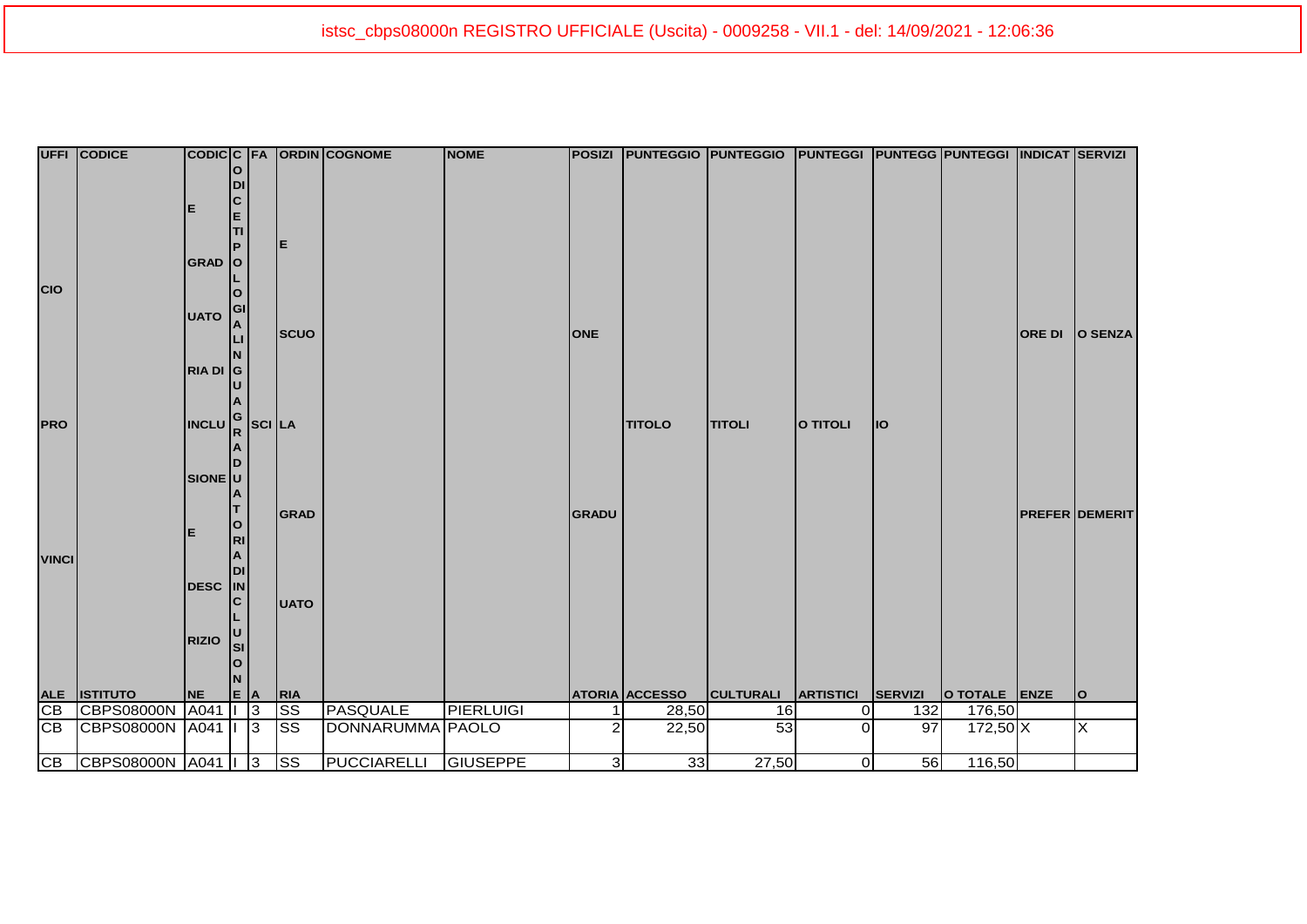|                 | UFFI CODICE       |                                                                                                |           |                |                        | CODICC FA ORDIN COGNOME | <b>NOME</b>      |                         |                       | POSIZI PUNTEGGIO PUNTEGGIO PUNTEGGI PUNTEGG PUNTEGGI INDICAT SERVIZI |                  |         |               |               |                       |
|-----------------|-------------------|------------------------------------------------------------------------------------------------|-----------|----------------|------------------------|-------------------------|------------------|-------------------------|-----------------------|----------------------------------------------------------------------|------------------|---------|---------------|---------------|-----------------------|
|                 |                   |                                                                                                | $\Omega$  |                |                        |                         |                  |                         |                       |                                                                      |                  |         |               |               |                       |
|                 |                   |                                                                                                | DI        |                |                        |                         |                  |                         |                       |                                                                      |                  |         |               |               |                       |
|                 |                   | E                                                                                              | C         |                |                        |                         |                  |                         |                       |                                                                      |                  |         |               |               |                       |
|                 |                   |                                                                                                | E         |                |                        |                         |                  |                         |                       |                                                                      |                  |         |               |               |                       |
|                 |                   |                                                                                                | TI        |                |                        |                         |                  |                         |                       |                                                                      |                  |         |               |               |                       |
|                 |                   |                                                                                                |           |                | IE.                    |                         |                  |                         |                       |                                                                      |                  |         |               |               |                       |
|                 |                   | GRAD O                                                                                         |           |                |                        |                         |                  |                         |                       |                                                                      |                  |         |               |               |                       |
|                 |                   |                                                                                                |           |                |                        |                         |                  |                         |                       |                                                                      |                  |         |               |               |                       |
| <b>CIO</b>      |                   |                                                                                                |           |                |                        |                         |                  |                         |                       |                                                                      |                  |         |               |               |                       |
|                 |                   | <b>UATO</b>                                                                                    | GI        |                |                        |                         |                  |                         |                       |                                                                      |                  |         |               |               |                       |
|                 |                   |                                                                                                | A         |                | <b>SCUO</b>            |                         |                  | <b>ONE</b>              |                       |                                                                      |                  |         |               | <b>ORE DI</b> | O SENZA               |
|                 |                   |                                                                                                |           |                |                        |                         |                  |                         |                       |                                                                      |                  |         |               |               |                       |
|                 |                   |                                                                                                |           |                |                        |                         |                  |                         |                       |                                                                      |                  |         |               |               |                       |
|                 |                   | RIA DI G                                                                                       |           |                |                        |                         |                  |                         |                       |                                                                      |                  |         |               |               |                       |
|                 |                   |                                                                                                |           |                |                        |                         |                  |                         |                       |                                                                      |                  |         |               |               |                       |
|                 |                   |                                                                                                |           |                |                        |                         |                  |                         |                       |                                                                      |                  |         |               |               |                       |
| <b>PRO</b>      |                   | $\left \textsf{INCLU}\right _{\mathsf{R}}^{\mathsf{G}}\left \textsf{SCI}\right _{\mathsf{LA}}$ |           |                |                        |                         |                  |                         | <b>TITOLO</b>         | <b>TITOLI</b>                                                        | O TITOLI         | llo     |               |               |                       |
|                 |                   |                                                                                                |           |                |                        |                         |                  |                         |                       |                                                                      |                  |         |               |               |                       |
|                 |                   |                                                                                                |           |                |                        |                         |                  |                         |                       |                                                                      |                  |         |               |               |                       |
|                 |                   | <b>SIONE</b> U                                                                                 |           |                |                        |                         |                  |                         |                       |                                                                      |                  |         |               |               |                       |
|                 |                   |                                                                                                |           |                |                        |                         |                  |                         |                       |                                                                      |                  |         |               |               |                       |
|                 |                   |                                                                                                |           |                |                        |                         |                  |                         |                       |                                                                      |                  |         |               |               |                       |
|                 |                   |                                                                                                | O         |                | GRAD                   |                         |                  | <b>GRADU</b>            |                       |                                                                      |                  |         |               |               | <b>PREFER DEMERIT</b> |
|                 |                   | E                                                                                              | <b>RI</b> |                |                        |                         |                  |                         |                       |                                                                      |                  |         |               |               |                       |
|                 |                   |                                                                                                |           |                |                        |                         |                  |                         |                       |                                                                      |                  |         |               |               |                       |
| <b>VINCI</b>    |                   |                                                                                                |           |                |                        |                         |                  |                         |                       |                                                                      |                  |         |               |               |                       |
|                 |                   | DESC DI<br>DESC IN                                                                             |           |                |                        |                         |                  |                         |                       |                                                                      |                  |         |               |               |                       |
|                 |                   |                                                                                                | C         |                | <b>UATO</b>            |                         |                  |                         |                       |                                                                      |                  |         |               |               |                       |
|                 |                   |                                                                                                |           |                |                        |                         |                  |                         |                       |                                                                      |                  |         |               |               |                       |
|                 |                   |                                                                                                |           |                |                        |                         |                  |                         |                       |                                                                      |                  |         |               |               |                       |
|                 |                   | <b>RIZIO</b>                                                                                   | <b>SI</b> |                |                        |                         |                  |                         |                       |                                                                      |                  |         |               |               |                       |
|                 |                   |                                                                                                | O         |                |                        |                         |                  |                         |                       |                                                                      |                  |         |               |               |                       |
|                 |                   |                                                                                                |           |                |                        |                         |                  |                         |                       |                                                                      |                  |         |               |               |                       |
| <b>ALE</b>      | <b>ISTITUTO</b>   | <b>NE</b>                                                                                      | E A       |                | <b>RIA</b>             |                         |                  |                         | <b>ATORIA ACCESSO</b> | <b>CULTURALI</b>                                                     | <b>ARTISTICI</b> | SERVIZI | O TOTALE ENZE |               | $\mathbf{o}$          |
| $\overline{CB}$ | <b>CBPS08000N</b> | A041                                                                                           |           | $\sqrt{3}$     | <b>SS</b>              | <b>PASQUALE</b>         | <b>PIERLUIGI</b> |                         | 28,50                 | 16                                                                   | $\overline{0}$   | 132     | 176,50        |               |                       |
| $\overline{CB}$ | <b>CBPS08000N</b> | A041                                                                                           |           | $\overline{3}$ | <b>SS</b>              | DONNARUMMA PAOLO        |                  | 2                       | 22,50                 | 53                                                                   | $\Omega$         | 97      | $172,50$ X    |               | X                     |
|                 |                   |                                                                                                |           |                |                        |                         |                  |                         |                       |                                                                      |                  |         |               |               |                       |
| CB              | CBPS08000N        | A041   3                                                                                       |           |                | $\overline{\text{ss}}$ | <b>PUCCIARELLI</b>      | <b>GIUSEPPE</b>  | $\overline{\mathbf{3}}$ | 33                    | 27,50                                                                | $\overline{O}$   | 56      | 116,50        |               |                       |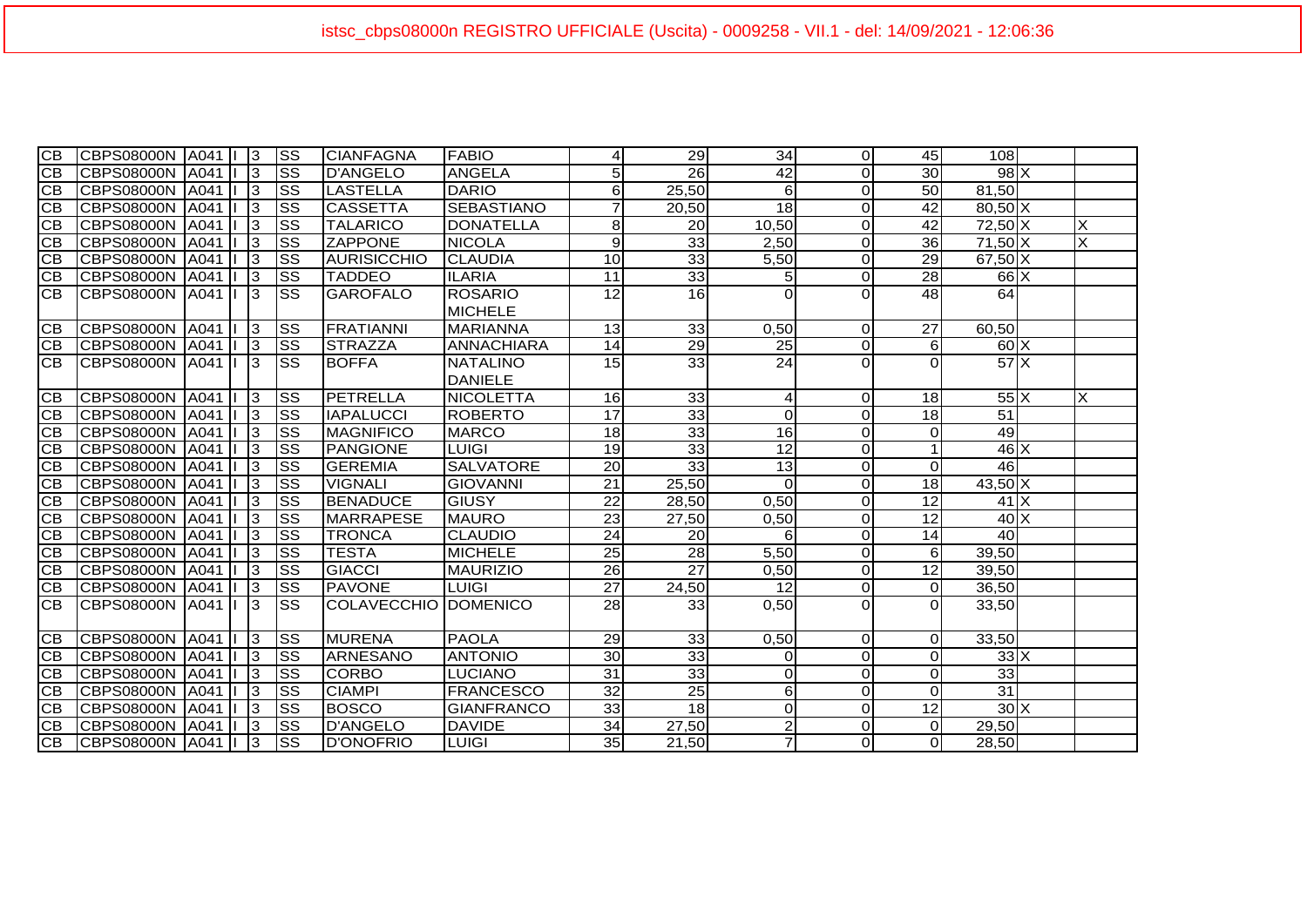| СB              | CBPS08000N   A041       3 |      |                 | ISS                    | <b>CIANFAGNA</b>     | <b>FABIO</b>      | $\vert$         | 29              | 34              | ΟI             | 45              | 108             |   |
|-----------------|---------------------------|------|-----------------|------------------------|----------------------|-------------------|-----------------|-----------------|-----------------|----------------|-----------------|-----------------|---|
| IСB             | ICBPS08000N IA041 II      |      | $\overline{3}$  | SS                     | <b>D'ANGELO</b>      | <b>ANGELA</b>     | 5 <sub>l</sub>  | 26              | 42              | $\Omega$       | 30              | $98$ X          |   |
| CВ              | CBPS08000N A041           |      | $\mathsf{I}3$   | <b>SS</b>              | <b>LASTELLA</b>      | <b>DARIO</b>      | $6 \mid$        | 25,50           | 6               | $\Omega$       | 50              | 81,50           |   |
| CB              | CBPS08000N A041           |      | $\vert$ 3       | lss                    | <b>CASSETTA</b>      | <b>SEBASTIANO</b> | $\overline{7}$  | 20,50           | 18              | $\Omega$       | 42              | $80,50$ X       |   |
| CB              | CBPS08000N A041           |      | $\vert$ 3       | <b>SS</b>              | <b>TALARICO</b>      | <b>DONATELLA</b>  | 8 <sup>1</sup>  | 20              | 10,50           | $\Omega$       | 42              | $72,50$ X       | X |
| CB              | CBPS08000N   A041   I     |      | $\vert$ 3       | <b>SS</b>              | <b>ZAPPONE</b>       | <b>NICOLA</b>     | $\overline{9}$  | 33              | 2,50            | $\Omega$       | 36              | $71,50$ X       | X |
| CB              | CBPS08000N   A041   I     |      | $\vert$ 3       | lss                    | <b>AURISICCHIO</b>   | <b>CLAUDIA</b>    | 10 <sub>1</sub> | $\overline{33}$ | 5,50            | $\Omega$       | 29              | $67,50$ X       |   |
| CВ              | CBPS08000N   A041   I     |      | $\vert$ 3       | lss                    | <b>TADDEO</b>        | <b>ILARIA</b>     | 11              | 33              | 5               | $\overline{0}$ | 28              | $66$ X          |   |
| <b>CB</b>       | CBPS08000N A041 I         |      | $\vert$ 3       | lss                    | <b>GAROFALO</b>      | <b>ROSARIO</b>    | $\overline{12}$ | 16              |                 |                | 48              | 64              |   |
|                 |                           |      |                 |                        |                      | <b>MICHELE</b>    |                 |                 |                 |                |                 |                 |   |
| ICB.            | <b>CBPS08000N</b>         | A041 | $\vert$ 3       | ISS                    | <b>FRATIANNI</b>     | <b>MARIANNA</b>   | 13              | 33              | 0,50            | $\overline{0}$ | 27              | 60,50           |   |
| CB              | CBPS08000N A041   3       |      |                 | lss                    | <b>STRAZZA</b>       | <b>ANNACHIARA</b> | 14              | $\overline{29}$ | 25              | $\Omega$       | 6               | $60\text{X}$    |   |
| <b>CB</b>       | CBPS08000N A041   3       |      |                 | Iss                    | <b>BOFFA</b>         | <b>NATALINO</b>   | 15              | 33              | $\overline{24}$ | ΩI             | ΩI              | $57$ $X$        |   |
|                 |                           |      |                 |                        |                      | <b>DANIELE</b>    |                 |                 |                 |                |                 |                 |   |
| CВ              | CBPS08000N A041           |      | $\vert$ 3       | lss                    | PETRELLA             | <b>NICOLETTA</b>  | 16              | 33              | 4               | $\overline{0}$ | 18 <sup>l</sup> | $55\text{X}$    | X |
| <b>CB</b>       | CBPS08000N   A041         |      | $\overline{3}$  | lss                    | <b>IAPALUCCI</b>     | <b>ROBERTO</b>    | 17              | $\overline{33}$ | 0               | $\Omega$       | 18              | $\overline{51}$ |   |
| CB              | CBPS08000N   A041         |      | $\overline{13}$ | <b>SS</b>              | <b>MAGNIFICO</b>     | <b>MARCO</b>      | 18              | $\overline{33}$ | 16              | $\Omega$       | 0               | 49              |   |
| CB              | CBPS08000N   A041         |      | $\overline{13}$ | SS                     | <b>PANGIONE</b>      | <b>LUIGI</b>      | 19              | 33              | 12              | $\Omega$       |                 | $46 \times$     |   |
| CB              | CBPS08000N A041           |      | $\mathsf{I}3$   | <b>SS</b>              | <b>GEREMIA</b>       | <b>SALVATORE</b>  | 20              | 33              | 13              | $\Omega$       | $\Omega$        | 46              |   |
| CB              | CBPS08000N A041           |      | $\vert$ 3       | <b>SS</b>              | <b>VIGNALI</b>       | <b>GIOVANNI</b>   | $\overline{21}$ | 25,50           | $\Omega$        | $\Omega$       | 18              | $43,50$ X       |   |
| CB              | CBPS08000N   A041         |      | $\sqrt{3}$      | SS                     | <b>BENADUCE</b>      | <b>GIUSY</b>      | $\overline{22}$ | 28,50           | 0,50            | $\Omega$       | 12              | $41$ $X$        |   |
| $\overline{CB}$ | CBPS08000N A041           |      | $\vert$ 3       | SS                     | <b>MARRAPESE</b>     | <b>MAURO</b>      | $\overline{23}$ | 27,50           | 0,50            | $\Omega$       | 12              | $40 \times$     |   |
| CB              | CBPS08000N   A041         |      | $\vert$ 3       | lss                    | <b>TRONCA</b>        | <b>CLAUDIO</b>    | 24              | 20              | 6               | $\Omega$       | 14              | 40              |   |
| CB              | CBPS08000N A041           |      | $\vert$ 3       | lss                    | <b>TESTA</b>         | <b>MICHELE</b>    | 25              | 28              | 5,50            | $\overline{0}$ | 6               | 39,50           |   |
| CB              | CBPS08000N A041           |      | 13              | <b>SS</b>              | <b>GIACCI</b>        | <b>MAURIZIO</b>   | 26              | $\overline{27}$ | 0,50            | $\Omega$       | 12              | 39,50           |   |
| CВ              | CBPS08000N   A041         |      | 13              | <b>SS</b>              | <b>PAVONE</b>        | <b>LUIGI</b>      | $\overline{27}$ | 24,50           | 12              | $\Omega$       | $\Omega$        | 36,50           |   |
| <b>CB</b>       | CBPS08000N   A041   I     |      | -13             | ISS                    | COLAVECCHIO DOMENICO |                   | 28              | 33              | 0,50            | $\Omega$       | $\Omega$        | 33,50           |   |
|                 |                           |      |                 |                        |                      |                   |                 |                 |                 |                |                 |                 |   |
| ICB.            | CBPS08000N A041           |      | $\vert$ 3       | lss                    | <b>MURENA</b>        | <b>PAOLA</b>      | 29              | 33              | 0,50            | $\overline{0}$ | $\Omega$        | 33,50           |   |
| <b>CB</b>       | CBPS08000N   A041   I     |      | $\vert$ 3       | lss                    | <b>ARNESANO</b>      | <b>ANTONIO</b>    | 30 <sub>o</sub> | 33              | $\Omega$        | $\Omega$       | $\Omega$        | $33 \times$     |   |
| CВ              | CBPS08000N   A041         |      | $\vert$ 3       | ISS                    | <b>CORBO</b>         | LUCIANO           | 31              | 33              | 0               | $\overline{0}$ | $\Omega$        | 33              |   |
| CB              | CBPS08000N A041           |      | $\vert$ 3       | $\overline{\text{ss}}$ | <b>CIAMPI</b>        | <b>FRANCESCO</b>  | 32              | 25              | 6               | $\Omega$       | $\Omega$        | 31              |   |
| CВ              | CBPS08000N   A041         |      | $\overline{3}$  | <b>SS</b>              | <b>BOSCO</b>         | <b>GIANFRANCO</b> | 33              | $\overline{18}$ | 0               | $\Omega$       | 12              | $30\text{X}$    |   |
| CВ              | CBPS08000N   A041         |      | 13              | <b>SS</b>              | <b>D'ANGELO</b>      | <b>DAVIDE</b>     | 34              | 27,50           | $\overline{c}$  | $\Omega$       | $\Omega$        | 29,50           |   |
| <b>CB</b>       | CBPS08000N A041           |      | $\vert$ 3       | lss                    | <b>D'ONOFRIO</b>     | <b>LUIGI</b>      | 35              | 21,50           | $\overline{7}$  | $\Omega$       | $\Omega$        | 28,50           |   |